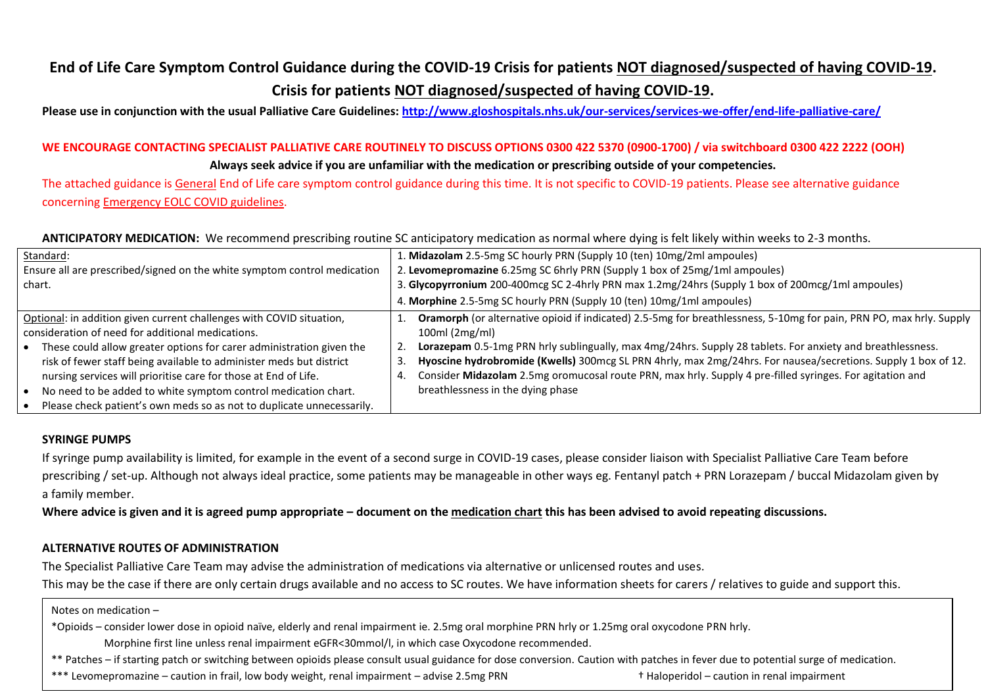# **End of Life Care Symptom Control Guidance during the COVID-19 Crisis for patients NOT diagnosed/suspected of having COVID-19. Crisis for patients NOT diagnosed/suspected of having COVID-19.**

**Please use in conjunction with the usual Palliative Care Guidelines: <http://www.gloshospitals.nhs.uk/our-services/services-we-offer/end-life-palliative-care/>**

# **WE ENCOURAGE CONTACTING SPECIALIST PALLIATIVE CARE ROUTINELY TO DISCUSS OPTIONS 0300 422 5370 (0900-1700) / via switchboard 0300 422 2222 (OOH) Always seek advice if you are unfamiliar with the medication or prescribing outside of your competencies.**

The attached guidance is General End of Life care symptom control guidance during this time. It is not specific to COVID-19 patients. Please see alternative guidance concerning Emergency EOLC COVID guidelines.

## **ANTICIPATORY MEDICATION:** We recommend prescribing routine SC anticipatory medication as normal where dying is felt likely within weeks to 2-3 months.

| Standard:                                                                                                                                                                                           | 1. Midazolam 2.5-5mg SC hourly PRN (Supply 10 (ten) 10mg/2ml ampoules)                                                                                                                                                                                |  |  |
|-----------------------------------------------------------------------------------------------------------------------------------------------------------------------------------------------------|-------------------------------------------------------------------------------------------------------------------------------------------------------------------------------------------------------------------------------------------------------|--|--|
| Ensure all are prescribed/signed on the white symptom control medication                                                                                                                            | 2. Levomepromazine 6.25mg SC 6hrly PRN (Supply 1 box of 25mg/1ml ampoules)                                                                                                                                                                            |  |  |
| chart.                                                                                                                                                                                              | 3. Glycopyrronium 200-400mcg SC 2-4hrly PRN max 1.2mg/24hrs (Supply 1 box of 200mcg/1ml ampoules)                                                                                                                                                     |  |  |
|                                                                                                                                                                                                     | 4. Morphine 2.5-5mg SC hourly PRN (Supply 10 (ten) 10mg/1ml ampoules)                                                                                                                                                                                 |  |  |
| Optional: in addition given current challenges with COVID situation,<br>consideration of need for additional medications.<br>• These could allow greater options for carer administration given the | Oramorph (or alternative opioid if indicated) 2.5-5mg for breathlessness, 5-10mg for pain, PRN PO, max hrly. Supply<br>$100ml$ (2mg/ml)<br>Lorazepam 0.5-1mg PRN hrly sublingually, max 4mg/24hrs. Supply 28 tablets. For anxiety and breathlessness. |  |  |
| risk of fewer staff being available to administer meds but district<br>nursing services will prioritise care for those at End of Life.                                                              | Hyoscine hydrobromide (Kwells) 300mcg SL PRN 4hrly, max 2mg/24hrs. For nausea/secretions. Supply 1 box of 12.<br>Consider Midazolam 2.5mg oromucosal route PRN, max hrly. Supply 4 pre-filled syringes. For agitation and                             |  |  |
| No need to be added to white symptom control medication chart.                                                                                                                                      | breathlessness in the dying phase                                                                                                                                                                                                                     |  |  |
| Please check patient's own meds so as not to duplicate unnecessarily.                                                                                                                               |                                                                                                                                                                                                                                                       |  |  |

### **SYRINGE PUMPS**

If syringe pump availability is limited, for example in the event of a second surge in COVID-19 cases, please consider liaison with Specialist Palliative Care Team before prescribing / set-up. Although not always ideal practice, some patients may be manageable in other ways eg. Fentanyl patch + PRN Lorazepam / buccal Midazolam given by a family member.

Where advice is given and it is agreed pump appropriate – document on the medication chart this has been advised to avoid repeating discussions.

### **ALTERNATIVE ROUTES OF ADMINISTRATION**

The Specialist Palliative Care Team may advise the administration of medications via alternative or unlicensed routes and uses.

This may be the case if there are only certain drugs available and no access to SC routes. We have information sheets for carers / relatives to guide and support this.

Notes on medication –

\*Opioids – consider lower dose in opioid naïve, elderly and renal impairment ie. 2.5mg oral morphine PRN hrly or 1.25mg oral oxycodone PRN hrly.

Morphine first line unless renal impairment eGFR<30mmol/l, in which case Oxycodone recommended.

and the common common common of the common case of possible recommences.<br>. Patches – if starting patch or switching between opioids please consult usual guidance for dose conversion. Caution with patches in fever due to po

\*\*\* Levomepromazine – caution in frail, low body weight, renal impairment – advise 2.5mg PRN **the action in renal impairment**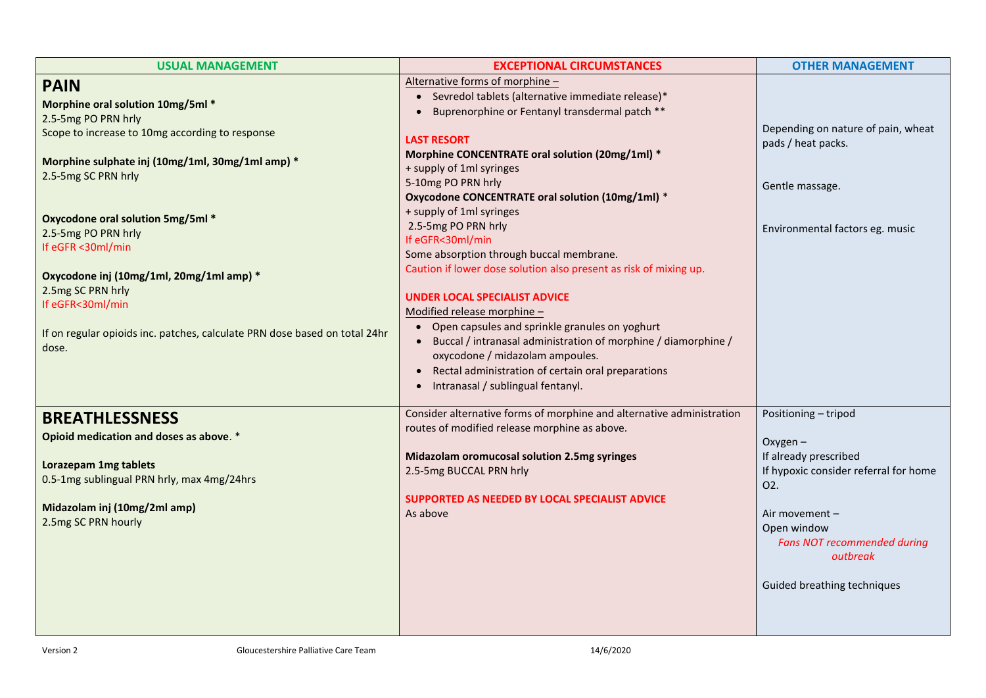| <b>USUAL MANAGEMENT</b>                                                                                                                                                                                                                                          | <b>EXCEPTIONAL CIRCUMSTANCES</b>                                                                                                                                                                                                                                                                                                                                                                                                                                                                                               | <b>OTHER MANAGEMENT</b>                                                                                                                                                                                                                    |
|------------------------------------------------------------------------------------------------------------------------------------------------------------------------------------------------------------------------------------------------------------------|--------------------------------------------------------------------------------------------------------------------------------------------------------------------------------------------------------------------------------------------------------------------------------------------------------------------------------------------------------------------------------------------------------------------------------------------------------------------------------------------------------------------------------|--------------------------------------------------------------------------------------------------------------------------------------------------------------------------------------------------------------------------------------------|
| <b>PAIN</b><br>Morphine oral solution 10mg/5ml *                                                                                                                                                                                                                 | Alternative forms of morphine -<br>• Sevredol tablets (alternative immediate release)*<br>Buprenorphine or Fentanyl transdermal patch **                                                                                                                                                                                                                                                                                                                                                                                       |                                                                                                                                                                                                                                            |
| 2.5-5mg PO PRN hrly<br>Scope to increase to 10mg according to response                                                                                                                                                                                           | <b>LAST RESORT</b><br>Morphine CONCENTRATE oral solution (20mg/1ml) *                                                                                                                                                                                                                                                                                                                                                                                                                                                          | Depending on nature of pain, wheat<br>pads / heat packs.                                                                                                                                                                                   |
| Morphine sulphate inj (10mg/1ml, 30mg/1ml amp) *<br>2.5-5mg SC PRN hrly                                                                                                                                                                                          | + supply of 1ml syringes<br>5-10mg PO PRN hrly<br>Oxycodone CONCENTRATE oral solution (10mg/1ml) *                                                                                                                                                                                                                                                                                                                                                                                                                             | Gentle massage.                                                                                                                                                                                                                            |
| <b>Oxycodone oral solution 5mg/5ml *</b><br>2.5-5mg PO PRN hrly<br>If eGFR <30ml/min<br>Oxycodone inj (10mg/1ml, 20mg/1ml amp) *<br>2.5mg SC PRN hrly<br>If eGFR<30ml/min<br>If on regular opioids inc. patches, calculate PRN dose based on total 24hr<br>dose. | + supply of 1ml syringes<br>2.5-5mg PO PRN hrly<br>If eGFR<30ml/min<br>Some absorption through buccal membrane.<br>Caution if lower dose solution also present as risk of mixing up.<br><b>UNDER LOCAL SPECIALIST ADVICE</b><br>Modified release morphine -<br>• Open capsules and sprinkle granules on yoghurt<br>Buccal / intranasal administration of morphine / diamorphine /<br>$\bullet$<br>oxycodone / midazolam ampoules.<br>• Rectal administration of certain oral preparations<br>Intranasal / sublingual fentanyl. | Environmental factors eg. music                                                                                                                                                                                                            |
| <b>BREATHLESSNESS</b><br>Opioid medication and doses as above. *<br><b>Lorazepam 1mg tablets</b><br>0.5-1mg sublingual PRN hrly, max 4mg/24hrs<br>Midazolam inj (10mg/2ml amp)<br>2.5mg SC PRN hourly                                                            | Consider alternative forms of morphine and alternative administration<br>routes of modified release morphine as above.<br>Midazolam oromucosal solution 2.5mg syringes<br>2.5-5mg BUCCAL PRN hrly<br>SUPPORTED AS NEEDED BY LOCAL SPECIALIST ADVICE<br>As above                                                                                                                                                                                                                                                                | Positioning - tripod<br>$Oxygen -$<br>If already prescribed<br>If hypoxic consider referral for home<br>O <sub>2</sub> .<br>Air movement -<br>Open window<br><b>Fans NOT recommended during</b><br>outbreak<br>Guided breathing techniques |